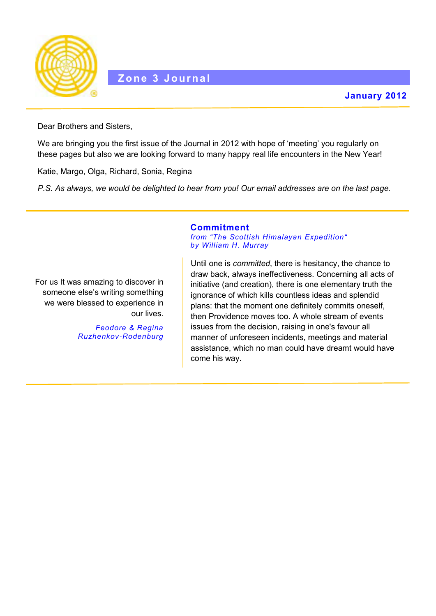

Dear Brothers and Sisters,

We are bringing you the first issue of the Journal in 2012 with hope of 'meeting' you regularly on these pages but also we are looking forward to many happy real life encounters in the New Year!

Katie, Margo, Olga, Richard, Sonia, Regina

*P.S. As always, we would be delighted to hear from you! Our email addresses are on the last page.*

**Commitment**

For us It was amazing to discover in someone else's writing something we were blessed to experience in our lives.

> *Feodore & Regina Ruzhenkov-Rodenburg*

*from "The Scottish Himalayan Expedition" by William H. Murray*

Until one is *committed*, there is hesitancy, the chance to draw back, always ineffectiveness. Concerning all acts of initiative (and creation), there is one elementary truth the ignorance of which kills countless ideas and splendid plans: that the moment one definitely commits oneself, then Providence moves too. A whole stream of events issues from the decision, raising in one's favour all manner of unforeseen incidents, meetings and material assistance, which no man could have dreamt would have come his way.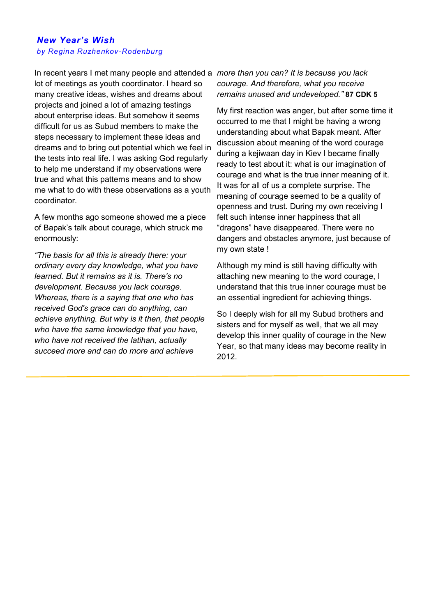### *New Year's Wish by Regina Ruzhenkov-Rodenburg*

In recent years I met many people and attended a *more than you can? It is because you lack*  lot of meetings as youth coordinator. I heard so many creative ideas, wishes and dreams about projects and joined a lot of amazing testings about enterprise ideas. But somehow it seems difficult for us as Subud members to make the steps necessary to implement these ideas and dreams and to bring out potential which we feel in the tests into real life. I was asking God regularly to help me understand if my observations were true and what this patterns means and to show me what to do with these observations as a youth coordinator.

A few months ago someone showed me a piece of Bapak's talk about courage, which struck me enormously:

*"The basis for all this is already there: your ordinary every day knowledge, what you have learned. But it remains as it is. There's no development. Because you lack courage. Whereas, there is a saying that one who has received God's grace can do anything, can achieve anything. But why is it then, that people who have the same knowledge that you have, who have not received the latihan, actually succeed more and can do more and achieve* 

# *courage. And therefore, what you receive remains unused and undeveloped."* **87 CDK 5**

My first reaction was anger, but after some time it occurred to me that I might be having a wrong understanding about what Bapak meant. After discussion about meaning of the word courage during a kejiwaan day in Kiev I became finally ready to test about it: what is our imagination of courage and what is the true inner meaning of it. It was for all of us a complete surprise. The meaning of courage seemed to be a quality of openness and trust. During my own receiving I felt such intense inner happiness that all "dragons" have disappeared. There were no dangers and obstacles anymore, just because of my own state !

Although my mind is still having difficulty with attaching new meaning to the word courage, I understand that this true inner courage must be an essential ingredient for achieving things.

So I deeply wish for all my Subud brothers and sisters and for myself as well, that we all may develop this inner quality of courage in the New Year, so that many ideas may become reality in 2012.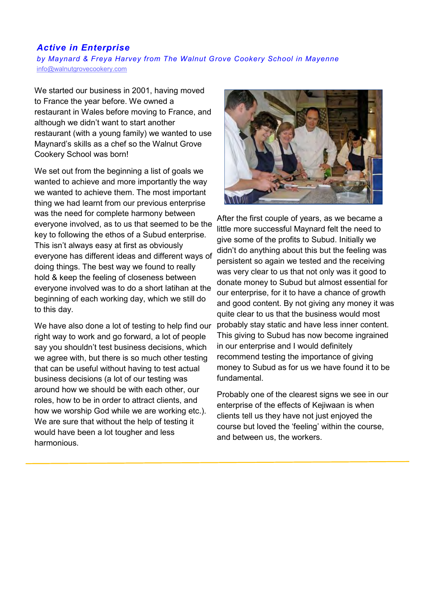# *Active in Enterprise*

*by Maynard & Freya Harvey from The Walnut Grove Cookery School in Mayenne* [info@walnutgrovecookery.com](mailto:info@walnutgrovecookery.com)

We started our business in 2001, having moved to France the year before. We owned a restaurant in Wales before moving to France, and although we didn't want to start another restaurant (with a young family) we wanted to use Maynard's skills as a chef so the Walnut Grove Cookery School was born!

We set out from the beginning a list of goals we wanted to achieve and more importantly the way we wanted to achieve them. The most important thing we had learnt from our previous enterprise was the need for complete harmony between everyone involved, as to us that seemed to be the key to following the ethos of a Subud enterprise. This isn't always easy at first as obviously everyone has different ideas and different ways of doing things. The best way we found to really hold & keep the feeling of closeness between everyone involved was to do a short latihan at the beginning of each working day, which we still do to this day.

We have also done a lot of testing to help find our right way to work and go forward, a lot of people say you shouldn't test business decisions, which we agree with, but there is so much other testing that can be useful without having to test actual business decisions (a lot of our testing was around how we should be with each other, our roles, how to be in order to attract clients, and how we worship God while we are working etc.). We are sure that without the help of testing it would have been a lot tougher and less harmonious.



After the first couple of years, as we became a little more successful Maynard felt the need to give some of the profits to Subud. Initially we didn't do anything about this but the feeling was persistent so again we tested and the receiving was very clear to us that not only was it good to donate money to Subud but almost essential for our enterprise, for it to have a chance of growth and good content. By not giving any money it was quite clear to us that the business would most probably stay static and have less inner content. This giving to Subud has now become ingrained in our enterprise and I would definitely recommend testing the importance of giving money to Subud as for us we have found it to be fundamental.

Probably one of the clearest signs we see in our enterprise of the effects of Kejiwaan is when clients tell us they have not just enjoyed the course but loved the 'feeling' within the course, and between us, the workers.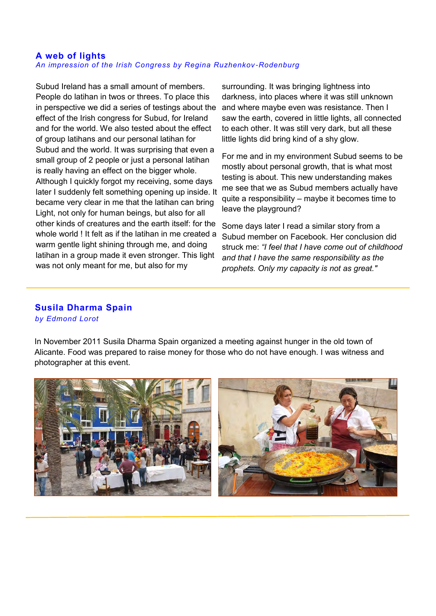#### **A web of lights** *An impression of the Irish Congress by Regina Ruzhenkov -Rodenburg*

Subud Ireland has a small amount of members. People do latihan in twos or threes. To place this in perspective we did a series of testings about the effect of the Irish congress for Subud, for Ireland and for the world. We also tested about the effect of group latihans and our personal latihan for Subud and the world. It was surprising that even a small group of 2 people or just a personal latihan is really having an effect on the bigger whole. Although I quickly forgot my receiving, some days later I suddenly felt something opening up inside. It became very clear in me that the latihan can bring Light, not only for human beings, but also for all other kinds of creatures and the earth itself: for the whole world ! It felt as if the latihan in me created a warm gentle light shining through me, and doing latihan in a group made it even stronger. This light was not only meant for me, but also for my

surrounding. It was bringing lightness into darkness, into places where it was still unknown and where maybe even was resistance. Then I saw the earth, covered in little lights, all connected to each other. It was still very dark, but all these little lights did bring kind of a shy glow.

For me and in my environment Subud seems to be mostly about personal growth, that is what most testing is about. This new understanding makes me see that we as Subud members actually have quite a responsibility – maybe it becomes time to leave the playground?

Some days later I read a similar story from a Subud member on Facebook. Her conclusion did struck me: *"I feel that I have come out of childhood and that I have the same responsibility as the prophets. Only my capacity is not as great."* 

### **Susila Dharma Spain**  *by Edmond Lorot*

In November 2011 Susila Dharma Spain organized a meeting against hunger in the old town of Alicante. Food was prepared to raise money for those who do not have enough. I was witness and photographer at this event.



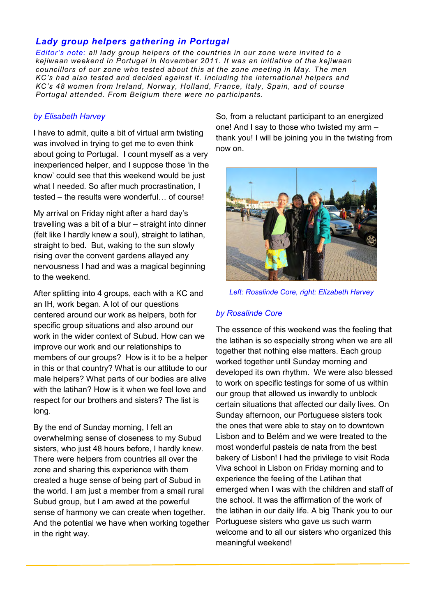# *Lady group helpers gathering in Portugal*

*Editor's note: all lady group helpers of the countries in our zone were invited to a kejiwaan weekend in Portugal in November 2011. It was an initiative of the kejiwaan councillors of our zone who tested about this at the zone meeting in May. The men KC's had also tested and decided against it. Including the international helpers and KC's 48 women from Ireland, Norway, Holland, France, Italy, Spain, and of course Portugal attended. From Belgium there were no participants.*

### *by Elisabeth Harvey*

I have to admit, quite a bit of virtual arm twisting was involved in trying to get me to even think about going to Portugal. I count myself as a very inexperienced helper, and I suppose those 'in the know' could see that this weekend would be just what I needed. So after much procrastination, I tested – the results were wonderful… of course!

My arrival on Friday night after a hard day's travelling was a bit of a blur – straight into dinner (felt like I hardly knew a soul), straight to latihan, straight to bed. But, waking to the sun slowly rising over the convent gardens allayed any nervousness I had and was a magical beginning to the weekend.

After splitting into 4 groups, each with a KC and an IH, work began. A lot of our questions centered around our work as helpers, both for specific group situations and also around our work in the wider context of Subud. How can we improve our work and our relationships to members of our groups? How is it to be a helper in this or that country? What is our attitude to our male helpers? What parts of our bodies are alive with the latihan? How is it when we feel love and respect for our brothers and sisters? The list is long.

By the end of Sunday morning, I felt an overwhelming sense of closeness to my Subud sisters, who just 48 hours before, I hardly knew. There were helpers from countries all over the zone and sharing this experience with them created a huge sense of being part of Subud in the world. I am just a member from a small rural Subud group, but I am awed at the powerful sense of harmony we can create when together. And the potential we have when working together in the right way.

So, from a reluctant participant to an energized one! And I say to those who twisted my arm – thank you! I will be joining you in the twisting from now on.



*Left: Rosalinde Core, right: Elizabeth Harvey*

## *by Rosalinde Core*

The essence of this weekend was the feeling that the latihan is so especially strong when we are all together that nothing else matters. Each group worked together until Sunday morning and developed its own rhythm. We were also blessed to work on specific testings for some of us within our group that allowed us inwardly to unblock certain situations that affected our daily lives. On Sunday afternoon, our Portuguese sisters took the ones that were able to stay on to downtown Lisbon and to Belém and we were treated to the most wonderful pasteis de nata from the best bakery of Lisbon! I had the privilege to visit Roda Viva school in Lisbon on Friday morning and to experience the feeling of the Latihan that emerged when I was with the children and staff of the school. It was the affirmation of the work of the latihan in our daily life. A big Thank you to our Portuguese sisters who gave us such warm welcome and to all our sisters who organized this meaningful weekend!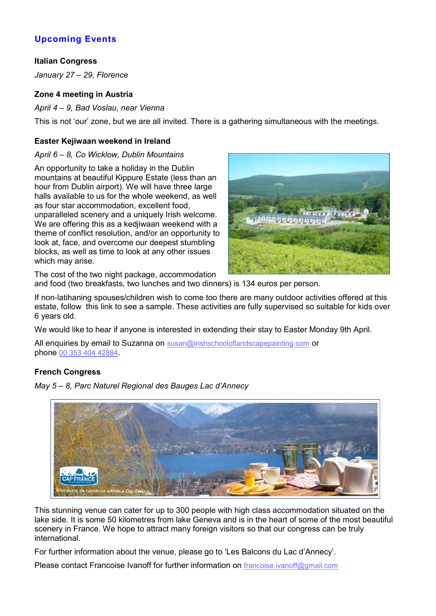# **Upcoming Events**

## **Italian Congress**

*January 27 – 29, Florence*

## **Zone 4 meeting in Austria**

*April 4 – 9, Bad Voslau, near Vienna*

This is not 'our' zone, but we are all invited. There is a gathering simultaneous with the meetings.

#### **Easter Kejiwaan weekend in Ireland**

#### *April 6 – 8, Co Wicklow, Dublin Mountains*

An opportunity to take a holiday in the Dublin mountains at beautiful Kippure Estate (less than an hour from Dublin airport). We will have three large halls available to us for the whole weekend, as well as four star accommodation, excellent food, unparalleled scenery and a uniquely Irish welcome. We are offering this as a kedjiwaan weekend with a theme of conflict resolution, and/or an opportunity to look at, face, and overcome our deepest stumbling blocks, as well as time to look at any other issues which may arise.



The cost of the two night package, accommodation and food (two breakfasts, two lunches and two dinners) is 134 euros per person.

If non-latihaning spouses/children wish to come too there are many outdoor activities offered at this estate, follow this link to see a sample. These activities are fully supervised so suitable for kids over 6 years old.

We would like to hear if anyone is interested in extending their stay to Easter Monday 9th April.

All enquiries by email to Suzanna on susan@irishschooloflandscapepainting.com or phone 00 353 404 42884.

## **French Congress**



*May 5 – 8, Parc Naturel Regional des Bauges Lac d'Annecy*

This stunning venue can cater for up to 300 people with high class accommodation situated on the lake side. It is some 50 kilometres from lake Geneva and is in the heart of some of the most beautiful scenery in France. We hope to attract many foreign visitors so that our congress can be truly international.

For further information about the venue, please go to 'Les Balcons du Lac d'Annecy'.

Please contact Francoise Ivanoff for further information on francoise.ivanoff@gmail.com